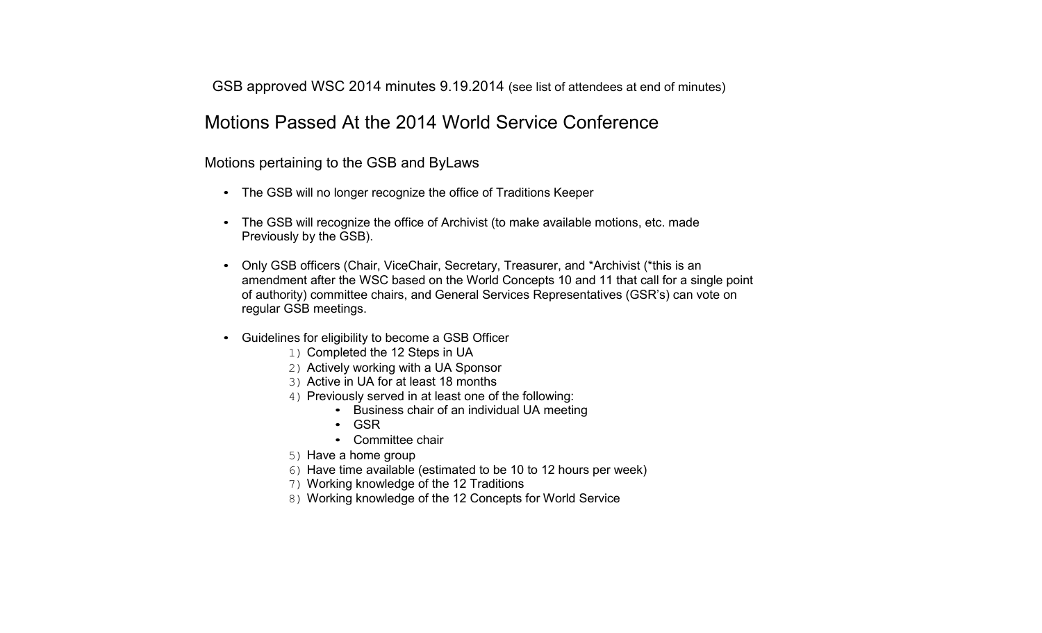GSB approved WSC 2014 minutes 9.19.2014 (see list of attendees at end of minutes)

### Motions Passed At the 2014 World Service Conference

Motions pertaining to the GSB and ByLaws

- The GSB will no longer recognize the office of Traditions Keeper
- The GSB will recognize the office of Archivist (to make available motions, etc. made Pre viously b y th e G S B).
- Only GSB officers (Chair, ViceChair, Secretary, Treasurer, and \*Archivist (\*this is an amendment after the WSC based on the World Concepts 10 and 11 that call for a single point of authority) committee chairs, and General Services Representatives (GSR's) can vote on regular GSB meetings.
- Guidelines for eligibility to become a GSB Officer
	- 1) C o m pleted th e 12 Ste ps in U A
	- 2) Activ ely w orking with a U A S ponsor
	- 3) Active in UA for at least 18 months
	- 4) Pre viously served in at least one of the follo win g:
		- Business chair of an individual UA meeting
		- G S R
		- Committee chair
	- 5) Have a home group
	- 6) Have time available (estimated to be 10 to 12 hours per week)
	- 7) W orking kno wled g e of the 12 Tra ditions
	- 8) Working knowledge of the 12 Concepts for World Service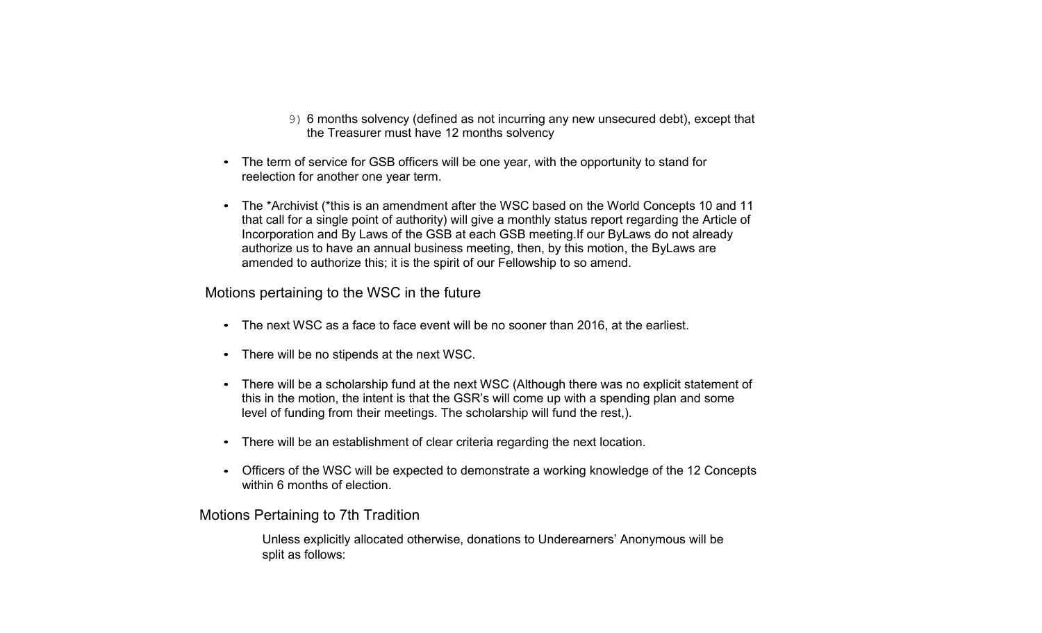- 9) 6 months solvency (defined as not incurring any new unsecured debt), except that the Treasurer must have 12 months solvency
- The term of service for GSB officers will be one year, with the opportunity to stand for reelection for another one year term.
- The \*Archivist (\*this is an amendment after the WSC based on the World Concepts 10 and 11 that call for a single point of authority) will give <sup>a</sup> monthly status report regarding the Article of Incorporation and By Laws of the GSB at each GSB meeting.If our ByLaws do not already authorize us to have an annual business meeting, then, by this motion, the ByLaws are amended to authorize this; it is the spirit of our Fellowship to so amend.

Motions pertaining to the WSC in the future

- The next WSC as <sup>a</sup> face to face event will be no sooner than 2016, at the earliest.
- There will be no stipends at the next WSC.
- There will be <sup>a</sup> scholarship fund at the next WSC (Although there was no explicit statement of this in the motion, the intent is that the GSR's will come up with <sup>a</sup> spending plan and some level of funding from their meetings. The scholarship will fund the rest,).
- There will be an establishment of clear criteria regarding the next location.
- Officers of the WSC will be expected to demonstrate <sup>a</sup> working knowledge of the 12 Concepts within 6 months of election.

Motions Pertaining to 7th Tradition

Unless explicitly allocated otherwise, donations to Underearners' Anonymous will be split as follows: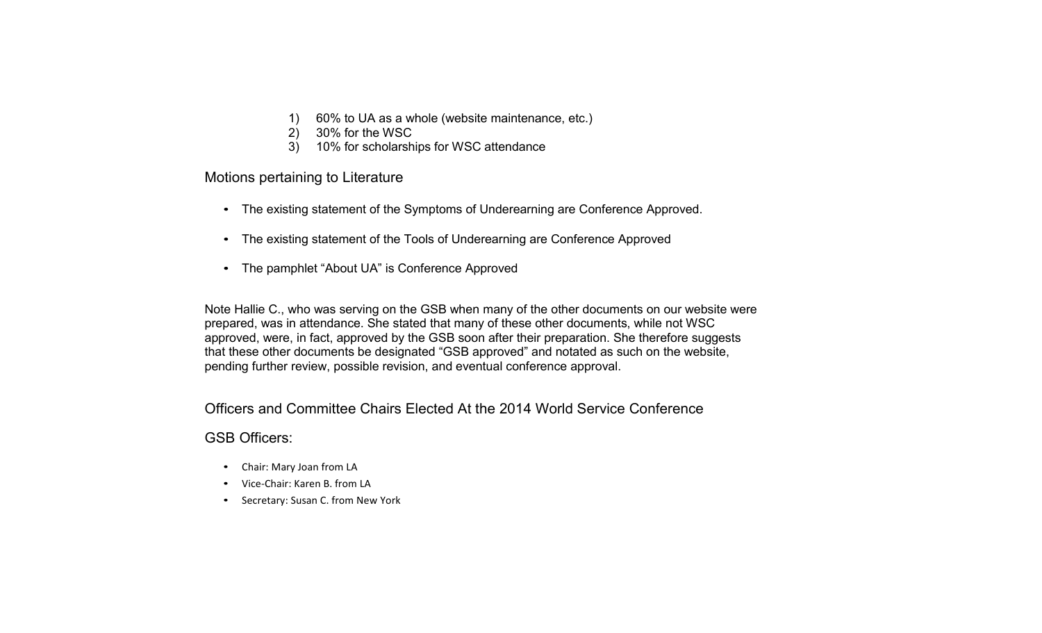- 1) 60% to UA as a whole (website maintenance, etc.)
- 2) 30% for the WSC
- 3) 10% for scholarships for WSC attendance

Motions pertaining to Literature

- The existing statement of the Symptoms of Underearning are Conference Approved.
- The existing statement of the Tools of Underearning are Conference Approved
- The pamphlet "About UA" is Conference Approved

Note Hallie C., who was serving on the GSB when many of the other documents on our website were prepared, was in attendance. She stated that many of these other documents, while not WSC approved, were, in fact, approved by the GSB soon after their preparation. She therefore suggests that these other documents be designated "GSB approved" and notated as such on the website, pending further review, possible revision, and eventual conference approval.

Officers and Committee Chairs Elected At the 2014 World Service Conference

#### GSB Officers:

- Chair: Mary Joan from LA
- Vice-Chair: Karen B. from LA
- Secretary: Susan C. from New York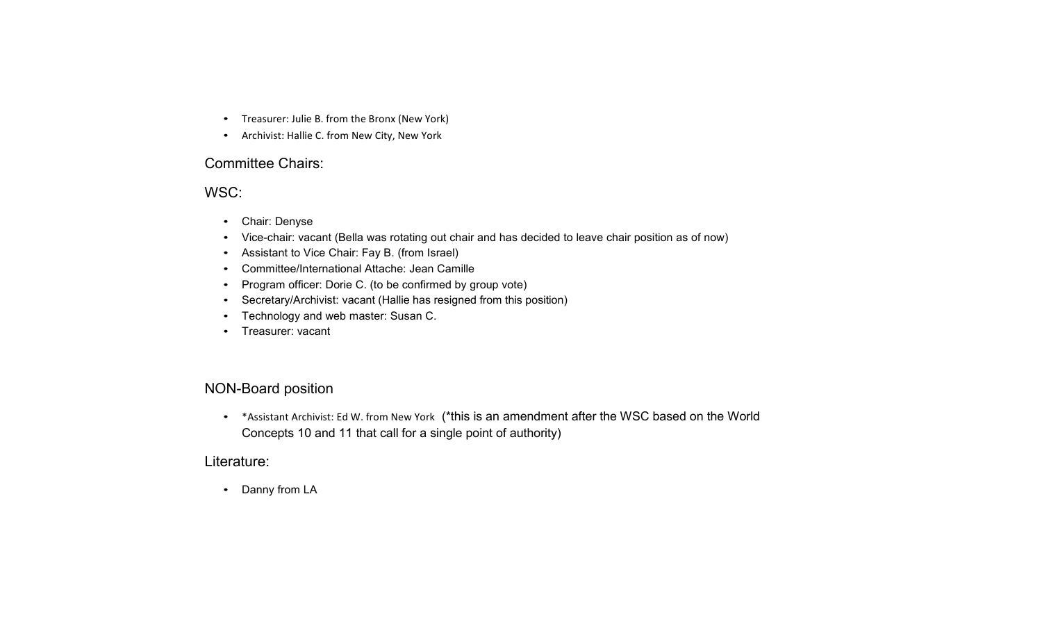- Treasurer: Julie B. from the Bronx (New York)
- Archivist: Hallie C. from New City, New York

#### Committee Chairs:

#### WSC:

- Chair: Denyse
- Vice-chair: vacant (Bella was rotating out chair and has decided to leave chair position as of now)
- Assistant to Vice Chair: Fay B. (from Israel)
- Committee/International Attache: Jean Camille
- Program officer: Dorie C. (to be confirmed by group vote)
- Secretary/Archivist: vacant (Hallie has resigned from this position)
- Technology and web master: Susan C.
- Treasurer: vacant

#### NON-Board position

• \* Assistant Archivist: Ed W. from New York (\*this is an amendment after the WSC based on the World Concepts 10 and 11 that call for a single point of authority)

#### Literature:

• Danny from LA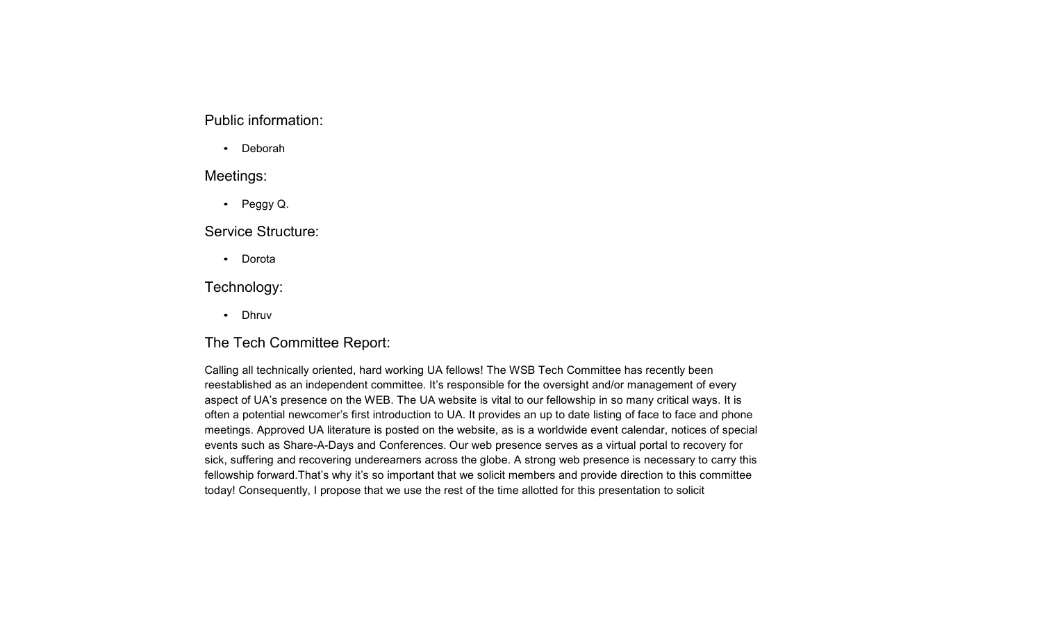#### Public information:

• Deborah

#### Meetings:

• Peggy Q.

#### Service Structure:

•Dorota

#### Technology:

• Dhruv

#### The Tech Committee Report:

Calling all technically oriented, hard working UA fellows! The WSB Tech Committee has recently been reestablished as an independent committee. It's responsible for the oversight and/or management of every aspect of UA's presence on the WEB. The UA website is vital to our fellowship in so many critical ways. It is often <sup>a</sup> potential newcomer's first introduction to UA. It provides an up to date listing of face to face and phone meetings. Approved UA literature is posted on the website, as is <sup>a</sup> worldwide event calendar, notices of special events such as Share-A-Days and Conferences. Our web presence serves as a virtual portal to recovery for sick, suffering and recovering underearners across the globe. A strong web presence is necessary to carry this fellowship forward.That's why it's so important that we solicit members and provide direction to this committee today! Consequently, I propose that we use the rest of the time allotted for this presentation to solicit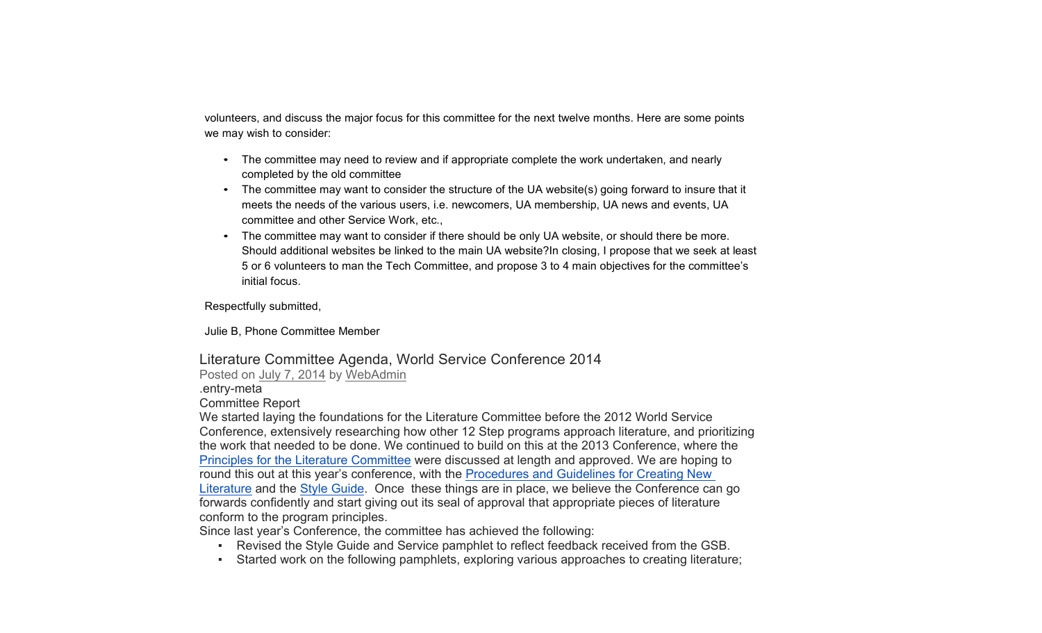volunteers, and discuss the major focus for this committee for the next twelve months. Here are some points we may wish to consider:

- The committee may need to review and if appropriate complete the work undertaken, and nearly completed by the old committee
- The committee may want to consider the structure of the UA website(s) going forward to insure that it meets the needs of the various users, i.e. newcomers, UA membership, UA news and events, UA committee and other Service Work, etc.,
- The committee may want to consider if there should be only UA website, or should there be more. Should additional websites be linked to the main UA website?In closing, I propose that we seek at least 5 or 6 volunteers to man the Tech Committee, and propose 3 to 4 main objectives for the committee's initial focus.

Respectfully submitted,

Julie B, Phone Committee Member

### Literature Committee Agenda, World Service Conference 2014

Posted on July 7, 2014 by WebAdmin

.entry-meta

Committee Report

We started laying the foundations for the Literature Committee before the 2012 World Service Conference, extensively researching how other 12 Step programs approach literature, and prioritizing the work that needed to be done. We continued to build on this at the 2013 Conference, where the Principles for the Literature Committee were discussed at length and approved. We are hoping to round this out at this year's conference, with the Procedures and Guidelines for Creating New Literature and the Style Guide. Once these things are in place, we believe the Conference can go forwards confidently and start giving out its seal of approval that appropriate pieces of literature conform to the program principles.

Since last year's Conference, the committee has achieved the following:

- Revised the Style Guide and Service pamphlet to reflect feedback received from the GSB.
- Started work on the following pamphlets, exploring various approaches to creating literature;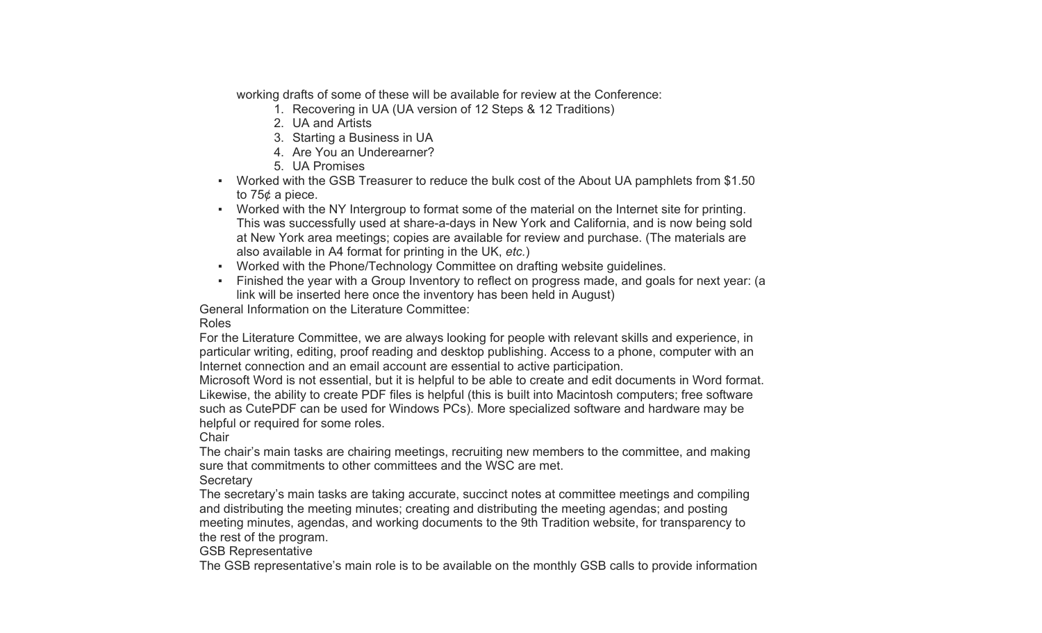working drafts of some of these will be available for review at the Conference:

- 1. Recovering in UA (UA version of 12 Steps & 12 Traditions)
- 2. UA and Artists
- 3. Starting a Business in UA
- 4. Are You an Underearner?
- 5. UA Promises
- Worked with the GSB Treasurer to reduce the bulk cost of the About UA pamphlets from \$1.50 to 75¢ a piece.
- Worked with the NY Intergroup to format some of the material on the Internet site for printing. This was successfully used at share-a-days in New York and California, and is now being sold at New York area meetings; copies are available for review and purchase. (The materials are also available in A4 format for printing in the UK, *etc.*)
- Worked with the Phone/Technology Committee on drafting website guidelines.
- ▪ Finished the year with a Group Inventory to reflect on progress made, and goals for next year: (a link will be inserted here once the inventory has been held in August)

General Information on the Literature Committee:

#### Roles

For the Literature Committee, we are always looking for people with relevant skills and experience, in particular writing, editing, proof reading and desktop publishing. Access to a phone, computer with an Internet connection and an email account are essential to active participation.

Microsoft Word is not essential, but it is helpful to be able to create and edit documents in Word format. Likewise, the ability to create PDF files is helpful (this is built into Macintosh computers; free software such as CutePDF can be used for Windows PCs). More specialized software and hardware may be helpful or required for some roles.

#### **Chair**

The chair's main tasks are chairing meetings, recruiting new members to the committee, and making sure that commitments to other committees and the WSC are met.

#### **Secretary**

The secretary's main tasks are taking accurate, succinct notes at committee meetings and compiling and distributing the meeting minutes; creating and distributing the meeting agendas; and posting meeting minutes, agendas, and working documents to the 9th Tradition website, for transparency to the rest of the program.

#### GSB Representative

The GSB representative's main role is to be available on the monthly GSB calls to provide information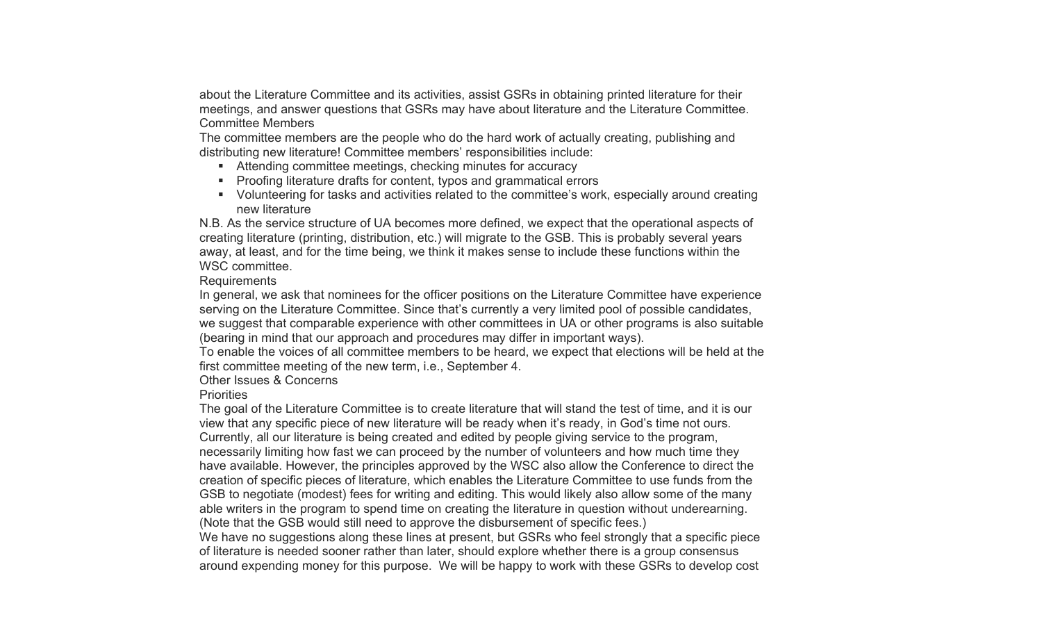about the Literature Committee and its activities, assist GSRs in obtaining printed literature for their meetings, and answer questions that GSRs may have about literature and the Literature Committee. Committee Members

The committee members are the people who do the hard work of actually creating, publishing and distributing new literature! Committee members' responsibilities include:

- Attending committee meetings, checking minutes for accuracy
- Proofing literature drafts for content, typos and grammatical errors
- ! Volunteering for tasks and activities related to the committee's work, especially around creating new literature

N.B. As the service structure of UA becomes more defined, we expect that the operational aspects of creating literature (printing, distribution, etc.) will migrate to the GSB. This is probably several years away, at least, and for the time being, we think it makes sense to include these functions within the WSC committee.

#### **Requirements**

In general, we ask that nominees for the officer positions on the Literature Committee have experience serving on the Literature Committee. Since that's currently a very limited pool of possible candidates, we suggest that comparable experience with other committees in UA or other programs is also suitable (bearing in mind that our approach and procedures may differ in important ways).

To enable the voices of all committee members to be heard, we expect that elections will be held at the first committee meeting of the new term, i.e., September 4.

#### Other Issues & Concerns

#### **Priorities**

The goal of the Literature Committee is to create literature that will stand the test of time, and it is our view that any specific piece of new literature will be ready when it's ready, in God's time not ours. Currently, all our literature is being created and edited by people giving service to the program, necessarily limiting how fast we can proceed by the number of volunteers and how much time they have available. However, the principles approved by the WSC also allow the Conference to direct the creation of specific pieces of literature, which enables the Literature Committee to use funds from the GSB to negotiate (modest) fees for writing and editing. This would likely also allow some of the many able writers in the program to spend time on creating the literature in question without underearning. (Note that the GSB would still need to approve the disbursement of specific fees.)

We have no suggestions along these lines at present, but GSRs who feel strongly that a specific piece of literature is needed sooner rather than later, should explore whether there is a group consensus around expending money for this purpose. We will be happy to work with these GSRs to develop cost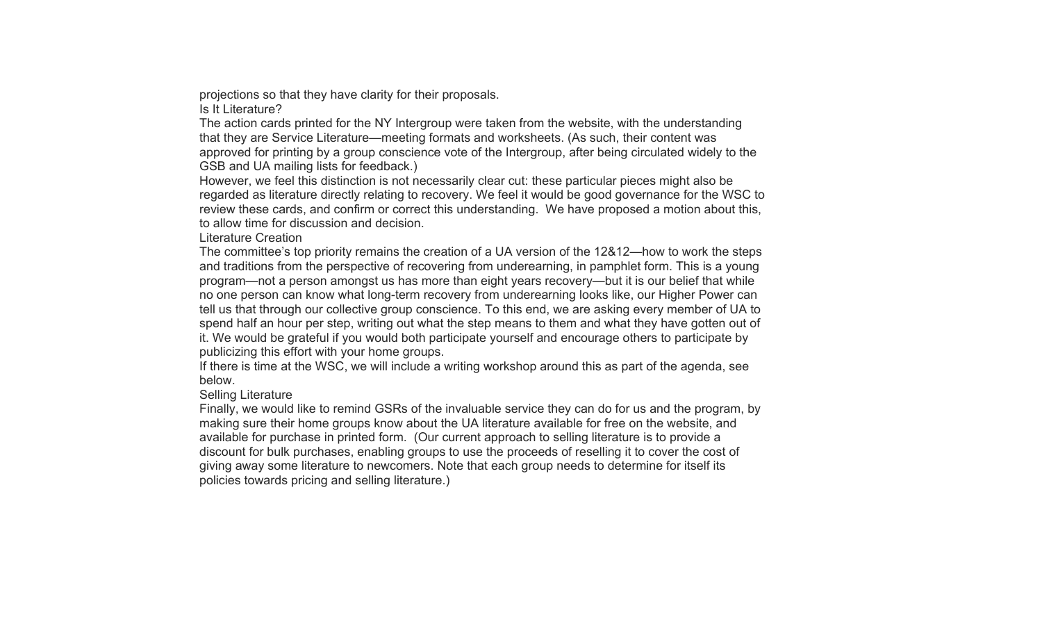projections so that they have clarity for their proposals.

Is It Literature?

The action cards printed for the NY Intergroup were taken from the website, with the understanding that they are Service Literature —meeting formats and worksheets. (As such, their content was approved for printing by a group conscience vote of the Intergroup, after being circulated widely to the GSB and UA mailing lists for feedback.)

However, we feel this distinction is not necessarily clear cut: these particular pieces might also be regarded as literature directly relating to recovery. We feel it would be good governance for the WSC to review these cards, and confirm or correct this understanding. We have proposed a motion about this, to allow time for discussion and decision.

Literature Creation

The committee's top priority remains the creation of a UA version of the 12&12 —how to work the steps and traditions from the perspective of recovering from underearning, in pamphlet form. This is a young program —not a person amongst us has more than eight years recovery —but it is our belief that while no one person can know what long-term recovery from underearning looks like, our Higher Power can tell us that through our collective group conscience. To this end, we are asking every member of UA to spend half an hour per step, writing out what the step means to them and what they have gotten out of it. We would be grateful if you would both participate yourself and encourage others to participate by publicizing this effort with your home groups.

If there is time at the WSC, we will include a writing workshop around this as part of the agenda, see below.

#### Selling Literature

Finally, we would like to remind GSRs of the invaluable service they can do for us and the program, by making sure their home groups know about the UA literature available for free on the website, and available for purchase in printed form. (Our current approach to selling literature is to provide a discount for bulk purchases, enabling groups to use the proceeds of reselling it to cover the cost of giving away some literature to newcomers. Note that each group needs to determine for itself its policies towards pricing and selling literature.)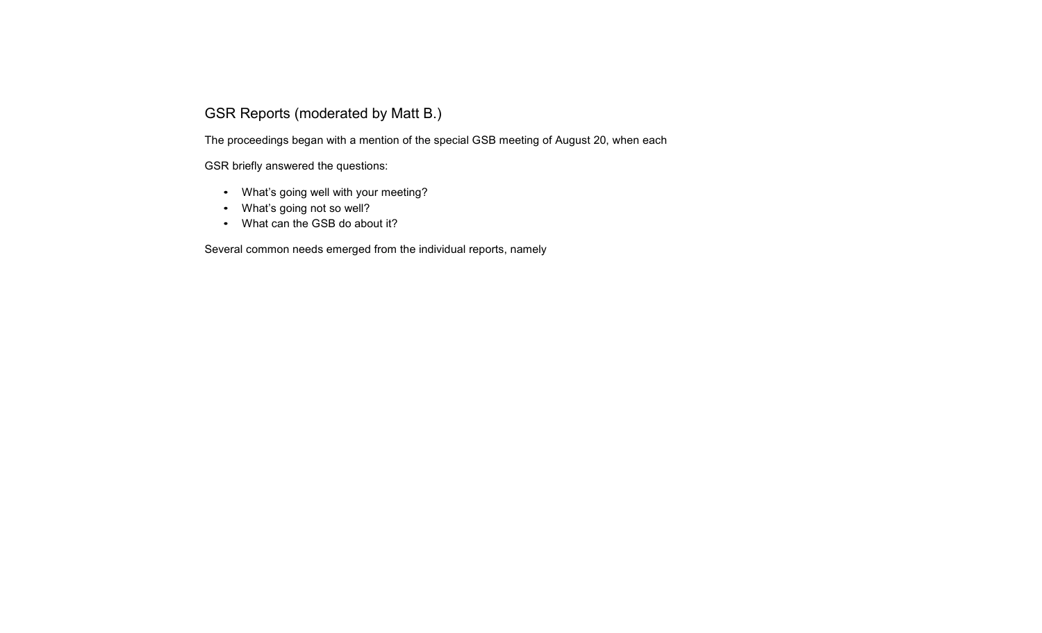#### GSR Reports (moderated by Matt B.)

The proceedings began with <sup>a</sup> mention of the special GSB meeting of August 20, when each

GSR briefly answered the questions:

- What's going well with your meeting?
- What's going not so well?
- What can the GSB do about it?

Several common needs emerged from the individual reports, namely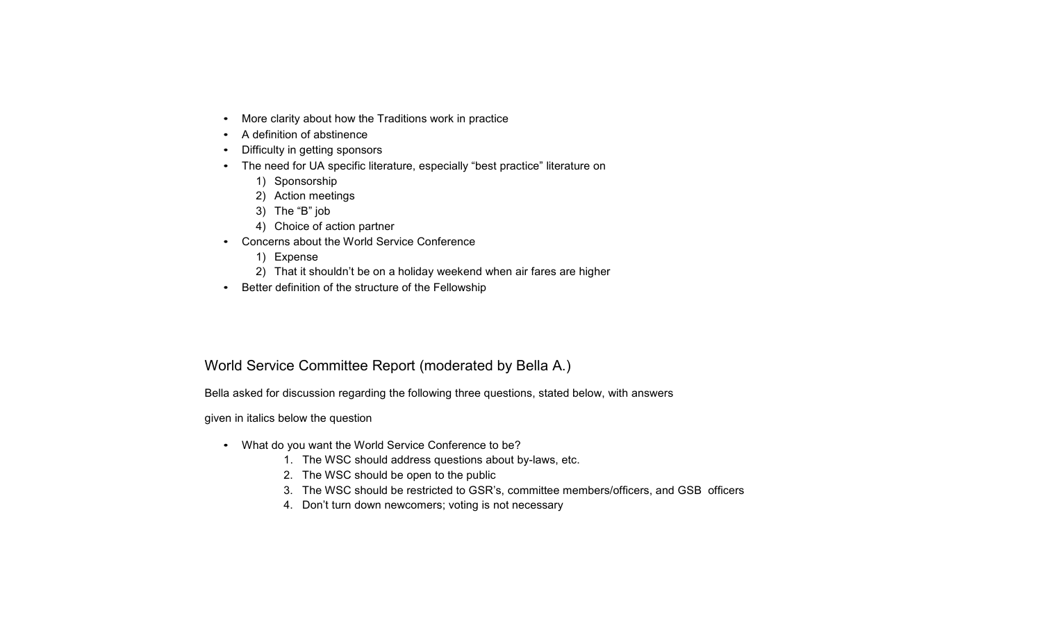- More clarity about how the Traditions work in practice
- A definition of abstinence
- Difficulty in getting sponsors
- The need for UA specific literature, especially "best practice" literature on
	- 1) Sponsorship
	- 2) Action meetings
	- 3) The "B" job
	- 4) Choice of action partner
- Concerns about the World Service Conference
	- 1) Expense
	- 2) That it shouldn't be on <sup>a</sup> holiday weekend when air fares are higher
- Better definition of the structure of the Fellowship

#### World Service Committee Report (moderated by Bella A.)

Bella asked for discussion regarding the following three questions, stated below, with answers

given in italics below the question

- What do you want the World Service Conference to be?
	- 1. The WSC should address questions about by-laws, etc.
	- 2. The WSC should be open to the public
	- 3. The WSC should be restricted to GSR's, committee members/officers, and GSB officers
	- 4. Don't turn down newcomers; voting is not necessary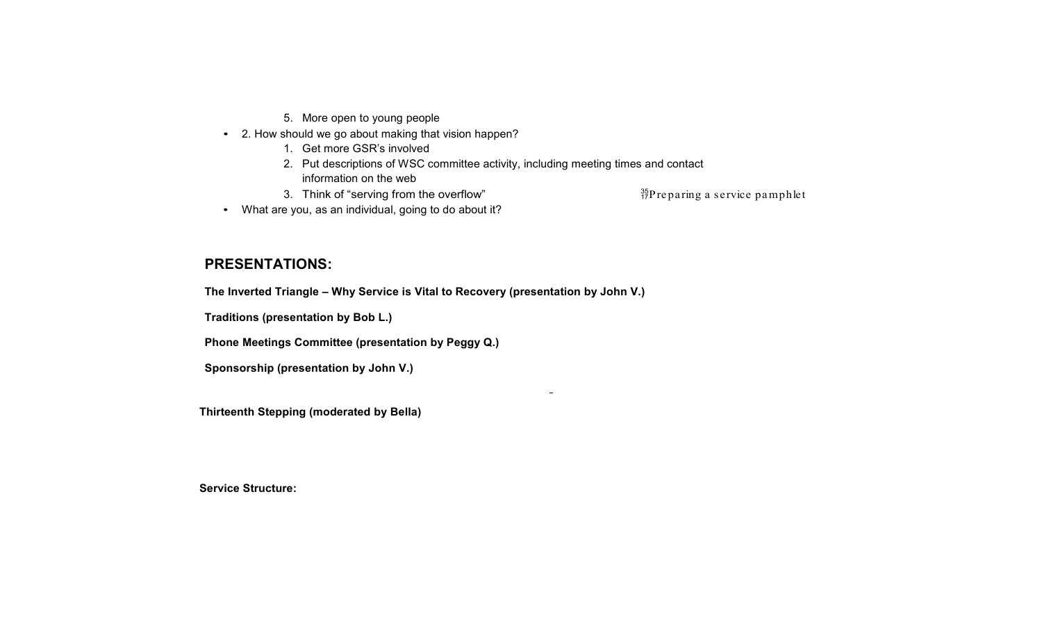- 5. More open to young people
- 2. How should we go about making that vision happen?
	- 1. Get more GSR's involved
	- 2. Put descriptions of WSC committee activity, including meeting times and contact information on the web

 $\blacksquare$ 

3. Think of "serving from the overflow"  $\frac{35}{17}$ Preparing a service pamphlet

• What are you, as an individual, going to do about it?

#### **PRESENTATIONS:**

**The Inverted Triangle – Why Service is Vital to Recovery (presentation by John V.)** 

**Traditions (presentation by Bob L.)**

**Phone Meetings Committee (presentation by Peggy Q.)**

**Sponsorship (presentation by John V.)**

**Thirteenth Stepping (moderated by Bella)**

**Service Structure:**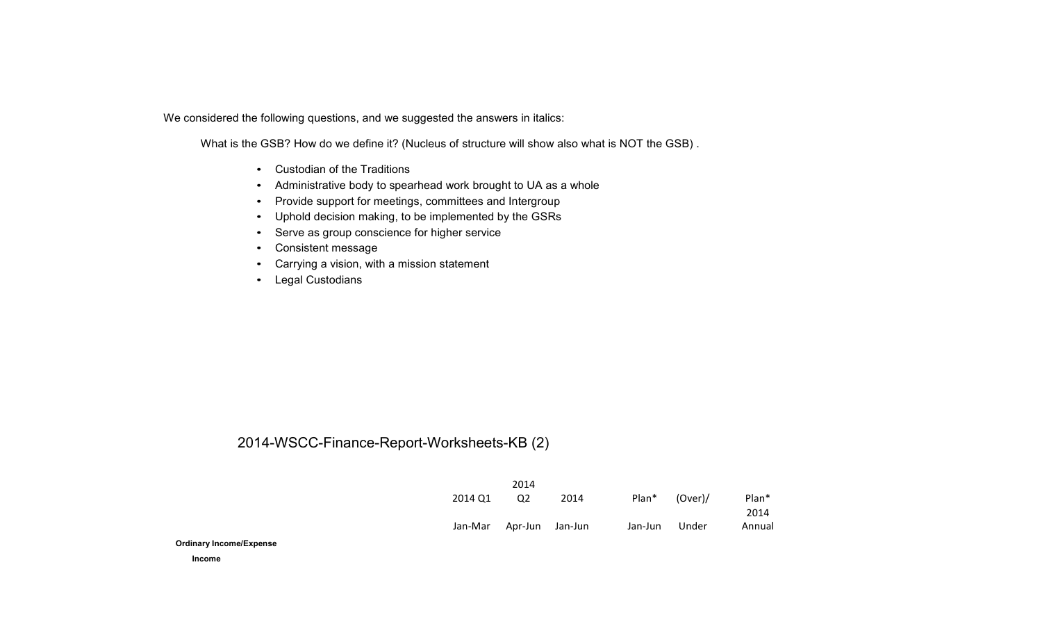We considered the following questions, and we suggested the answers in italics:

What is the GSB? How do we define it? (Nucleus of structure will show also what is NOT the GSB) .

- Custodian of the Traditions
- Administrative body to spearhead work brought to UA as <sup>a</sup> whole
- Provide support for meetings, committees and Intergroup
- Uphold decision making, to be implemented by the GSRs
- Serve as group conscience for higher service
- Consistent message
- Carrying <sup>a</sup> vision, with <sup>a</sup> mission statement
- Legal Custodians

#### 2014-WSCC-Finance-Report-Worksheets-KB (2)

|         | 2014                    |      |         |         |        |
|---------|-------------------------|------|---------|---------|--------|
| 2014 Q1 | O <sub>2</sub>          | 2014 | Plan*   | (Over)/ | Plan*  |
|         |                         |      |         |         | 2014   |
|         | Jan-Mar Apr-Jun Jan-Jun |      | Jan-Jun | Under   | Annual |

**Ordinary Income/Expense**

**Income**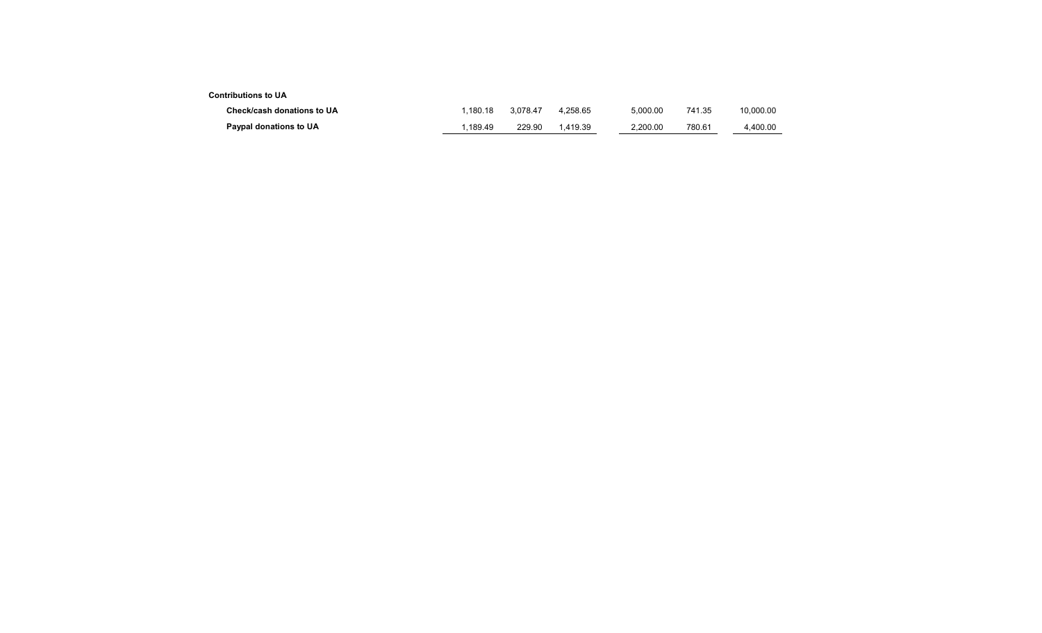#### **Contributions to U A**

| Check/cash donations to UA | . 180.18 | 3.078.47 | 4.258.65 | 5.000.00 | 741.35 | 10.000.00 |
|----------------------------|----------|----------|----------|----------|--------|-----------|
| Paypal donations to UA     | .189.49  | 229.90   | 1.419.39 | 2.200.00 | 780.61 | 4.400.00  |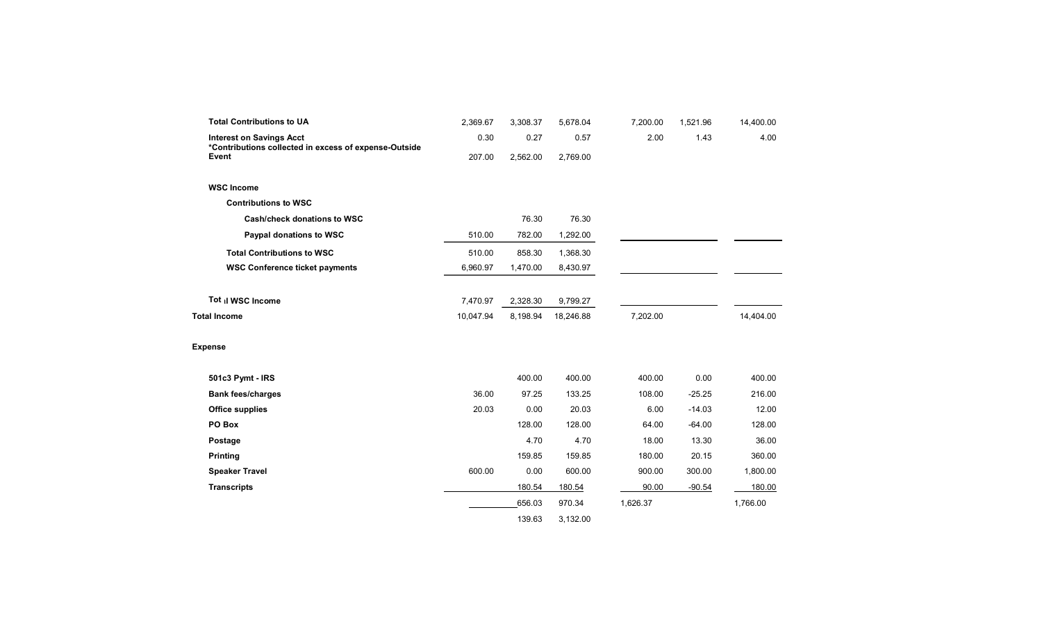| <b>Total Contributions to UA</b>                                                         | 2,369.67  | 3,308.37 | 5,678.04  | 7,200.00 | 1,521.96 | 14,400.00 |
|------------------------------------------------------------------------------------------|-----------|----------|-----------|----------|----------|-----------|
| <b>Interest on Savings Acct</b><br>*Contributions collected in excess of expense-Outside | 0.30      | 0.27     | 0.57      | 2.00     | 1.43     | 4.00      |
| Event                                                                                    | 207.00    | 2,562.00 | 2,769.00  |          |          |           |
| <b>WSC Income</b>                                                                        |           |          |           |          |          |           |
| <b>Contributions to WSC</b>                                                              |           |          |           |          |          |           |
| Cash/check donations to WSC                                                              |           | 76.30    | 76.30     |          |          |           |
| Paypal donations to WSC                                                                  | 510.00    | 782.00   | 1,292.00  |          |          |           |
| <b>Total Contributions to WSC</b>                                                        | 510.00    | 858.30   | 1,368.30  |          |          |           |
| <b>WSC Conference ticket payments</b>                                                    | 6,960.97  | 1,470.00 | 8,430.97  |          |          |           |
|                                                                                          |           |          |           |          |          |           |
| Tot il WSC Income                                                                        | 7,470.97  | 2,328.30 | 9,799.27  |          |          |           |
| <b>Total Income</b>                                                                      | 10,047.94 | 8,198.94 | 18,246.88 | 7,202.00 |          | 14,404.00 |
|                                                                                          |           |          |           |          |          |           |
| <b>Expense</b>                                                                           |           |          |           |          |          |           |
| 501c3 Pymt - IRS                                                                         |           | 400.00   | 400.00    | 400.00   | 0.00     | 400.00    |
| <b>Bank fees/charges</b>                                                                 | 36.00     | 97.25    | 133.25    | 108.00   | $-25.25$ | 216.00    |
| <b>Office supplies</b>                                                                   | 20.03     | 0.00     | 20.03     | 6.00     | $-14.03$ | 12.00     |
| PO Box                                                                                   |           | 128.00   | 128.00    | 64.00    | $-64.00$ | 128.00    |
| Postage                                                                                  |           | 4.70     | 4.70      | 18.00    | 13.30    | 36.00     |
| <b>Printing</b>                                                                          |           | 159.85   | 159.85    | 180.00   | 20.15    | 360.00    |
| <b>Speaker Travel</b>                                                                    | 600.00    | 0.00     | 600.00    | 900.00   | 300.00   | 1,800.00  |
| <b>Transcripts</b>                                                                       |           | 180.54   | 180.54    | 90.00    | $-90.54$ | 180.00    |
|                                                                                          |           | 656.03   | 970.34    | 1,626.37 |          | 1,766.00  |
|                                                                                          |           | 139.63   | 3,132.00  |          |          |           |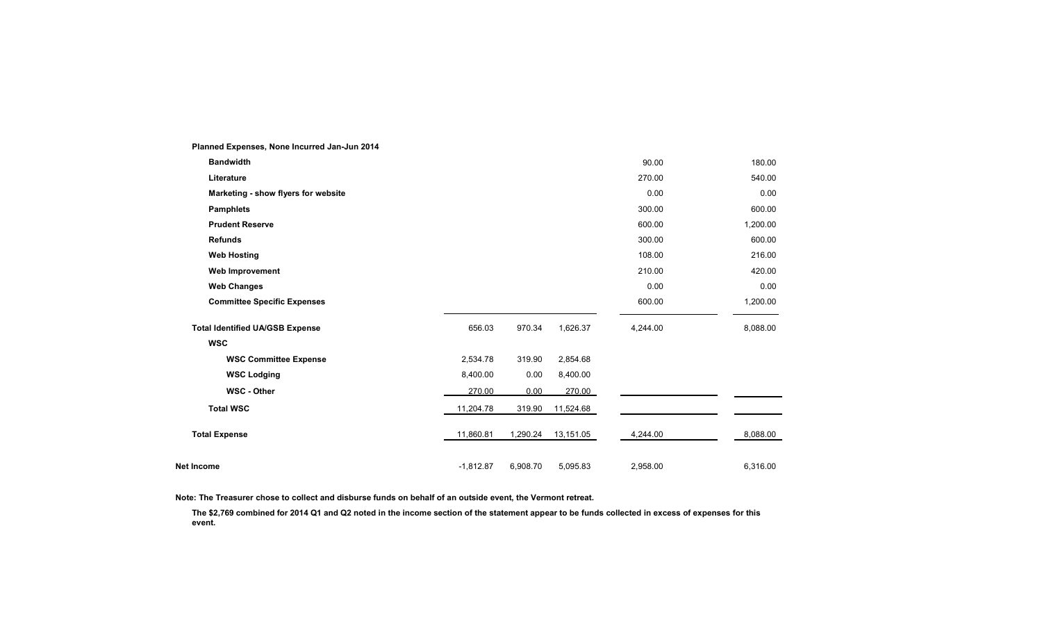| $\frac{1}{2}$ iailiicu Experises, itolie liicuried vali-vuli Zv I+ |             |          |           |          |          |
|--------------------------------------------------------------------|-------------|----------|-----------|----------|----------|
| <b>Bandwidth</b>                                                   |             |          |           | 90.00    | 180.00   |
| Literature                                                         |             |          |           | 270.00   | 540.00   |
| Marketing - show flyers for website                                |             |          |           | 0.00     | 0.00     |
| <b>Pamphlets</b>                                                   |             |          |           | 300.00   | 600.00   |
| <b>Prudent Reserve</b>                                             |             |          |           | 600.00   | 1,200.00 |
| <b>Refunds</b>                                                     |             |          |           | 300.00   | 600.00   |
| <b>Web Hosting</b>                                                 |             |          |           | 108.00   | 216.00   |
| Web Improvement                                                    |             |          |           | 210.00   | 420.00   |
| <b>Web Changes</b>                                                 |             |          |           | 0.00     | 0.00     |
| <b>Committee Specific Expenses</b>                                 |             |          |           | 600.00   | 1,200.00 |
| <b>Total Identified UA/GSB Expense</b>                             | 656.03      | 970.34   | 1,626.37  | 4,244.00 | 8,088.00 |
| <b>WSC</b>                                                         |             |          |           |          |          |
| <b>WSC Committee Expense</b>                                       | 2,534.78    | 319.90   | 2,854.68  |          |          |
| <b>WSC Lodging</b>                                                 | 8,400.00    | 0.00     | 8,400.00  |          |          |
| <b>WSC - Other</b>                                                 | 270.00      | 0.00     | 270.00    |          |          |
| <b>Total WSC</b>                                                   | 11,204.78   | 319.90   | 11,524.68 |          |          |
| <b>Total Expense</b>                                               | 11,860.81   | 1,290.24 | 13,151.05 | 4,244.00 | 8,088.00 |
| Net Income                                                         | $-1,812.87$ | 6,908.70 | 5,095.83  | 2,958.00 | 6,316.00 |

**Planned Expenses, None Incurred Jan-Jun 2014**

**Note: The Treasurer chose to collect and disburse funds on behalf of an outside event, the Vermont retreat.**

The \$2,769 combined for 2014 Q1 and Q2 noted in the income section of the statement appear to be funds collected in excess of expenses for this **event.**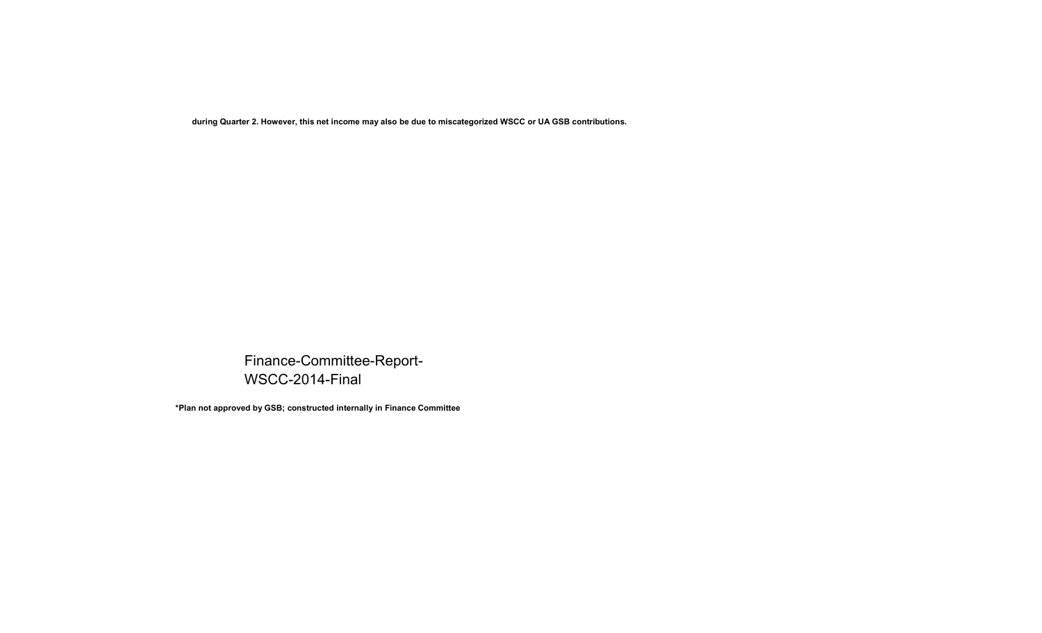**during Quarter 2. However, this net income may also be due to miscategorized WSCC or UA GSB contributions.**

Finance-Committee-Report-WSCC-2014-Final

**\*Plan not approved by GSB; constructed internally in Finance Committee**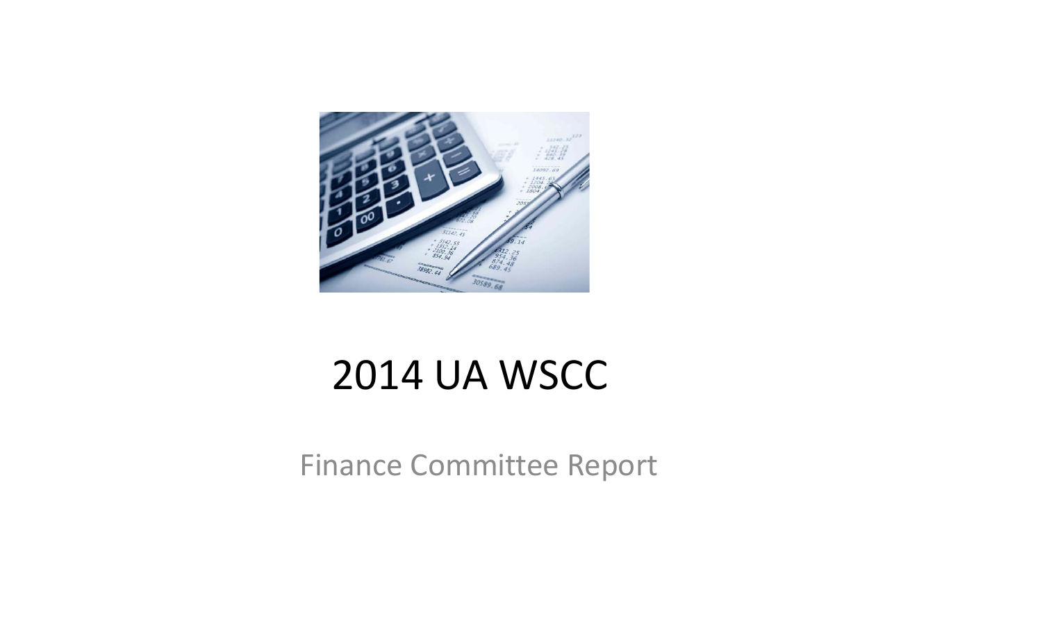

# 2014 UA WSCC

Finance Committee Report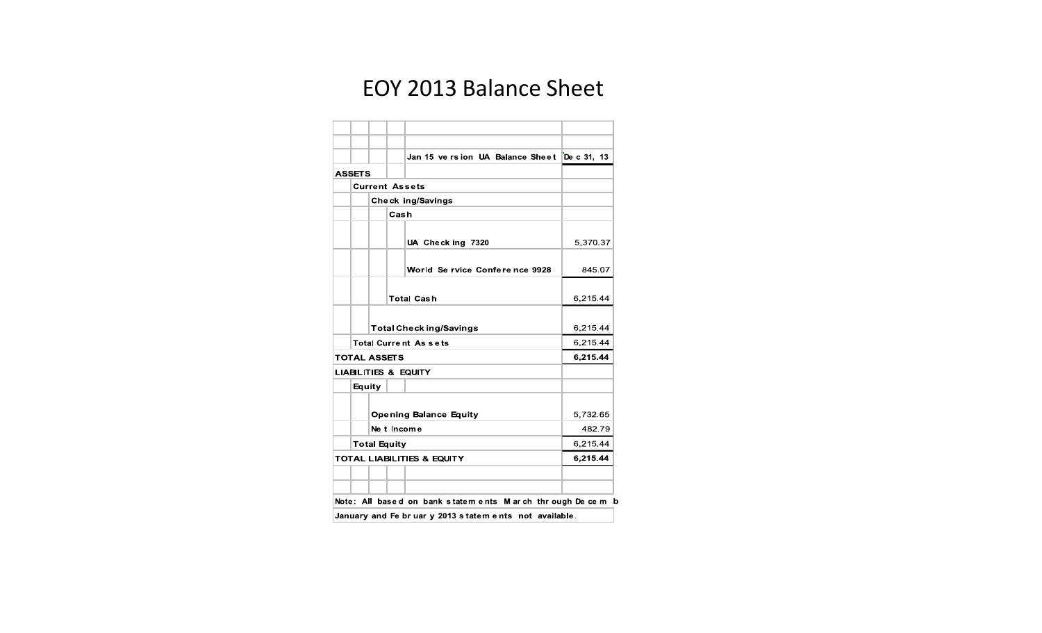### EOY 2013 Balance Sheet

|                     | Jan 15 ve rsion UA Balance Sheet De c 31, 13             |          |
|---------------------|----------------------------------------------------------|----------|
| <b>ASSETS</b>       |                                                          |          |
|                     | <b>Current Assets</b>                                    |          |
|                     | <b>Check ing/Savings</b>                                 |          |
|                     | Cash                                                     |          |
|                     | UA Check ing 7320                                        | 5,370.37 |
|                     | World Se rvice Conference 9928                           | 845.07   |
|                     | <b>Total Cash</b>                                        | 6,215.44 |
|                     | <b>Total Check ing/Savings</b>                           | 6,215.44 |
|                     | <b>Total Current Assets</b>                              | 6,215.44 |
| <b>TOTAL ASSETS</b> |                                                          | 6,215.44 |
|                     | <b>LIABILITIES &amp; EQUITY</b>                          |          |
| Equity              |                                                          |          |
|                     | <b>Opening Balance Equity</b>                            | 5,732.65 |
|                     | Ne t Income                                              | 482.79   |
|                     | <b>Total Equity</b>                                      | 6,215.44 |
|                     | <b>TOTAL LIABILITIES &amp; EQUITY</b>                    | 6,215.44 |
|                     |                                                          |          |
|                     | Note: All based on bank statements. March through Decemb |          |

Note: All based on bank statem ents M arch through Decem b

January and Fe br uar y 2013 statem ents not available.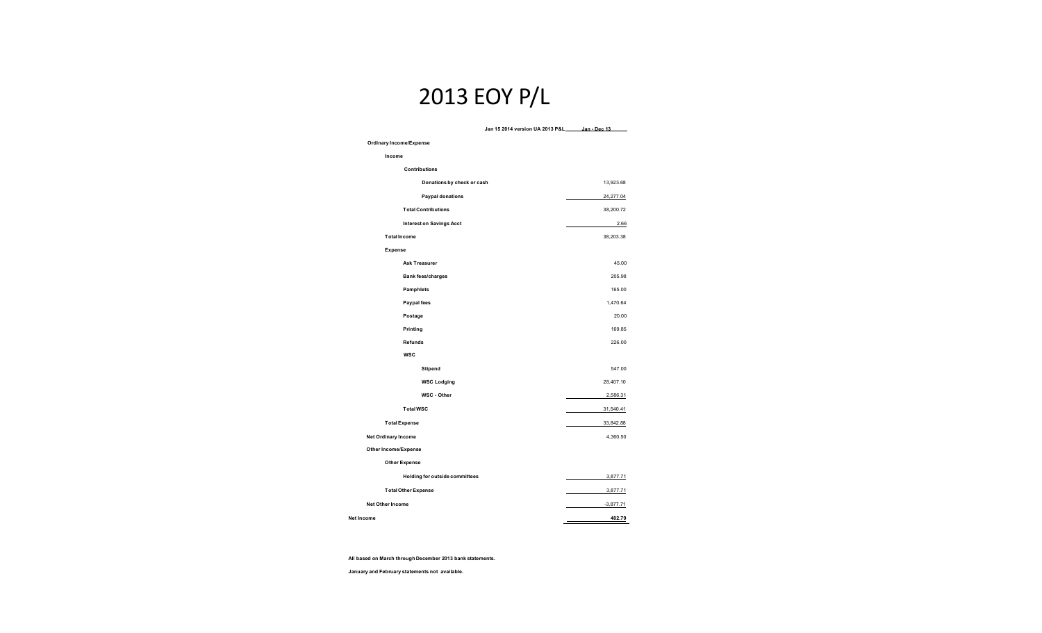### 2013 EOY P/L

#### **Jan 15 2014 version UA 2013 P&L Jan - Dec 13 Ordinary Income/Expense Income Contributions Donations by check or cash** 13,923.68 **Paypal donations** 24,277.04 **Total Contributions** 38,200.72 **Interest on Savings Acct** 2.66 **Total Income Expense** 38,203.38 **Ask Treasurer** 45.00 **Bank fees/charges** 205.98 **Pamphlets** 165.00 **Paypal fees** 1,470.64 **Postage** 20.00 **Printing** 169.85 **Refunds WSC** 226.00 **Stipend** 547.00 **WSC Lodging** 28,407.10 **WSC - Other** 2,586.31 **Total WSC** 31,540.41 **Total Expense** 33,842.88 **Net Ordinary Income Other Income/Expense** 4,360.50 **Other Expense Holding for outside committees** 3,877.71 **Total Other Expense** 3,877.71 **Net Other Income** -3,877.71 **Net Income 482.79**

**All based on March through December 2013 bank statements.** 

**January and February statements not available.**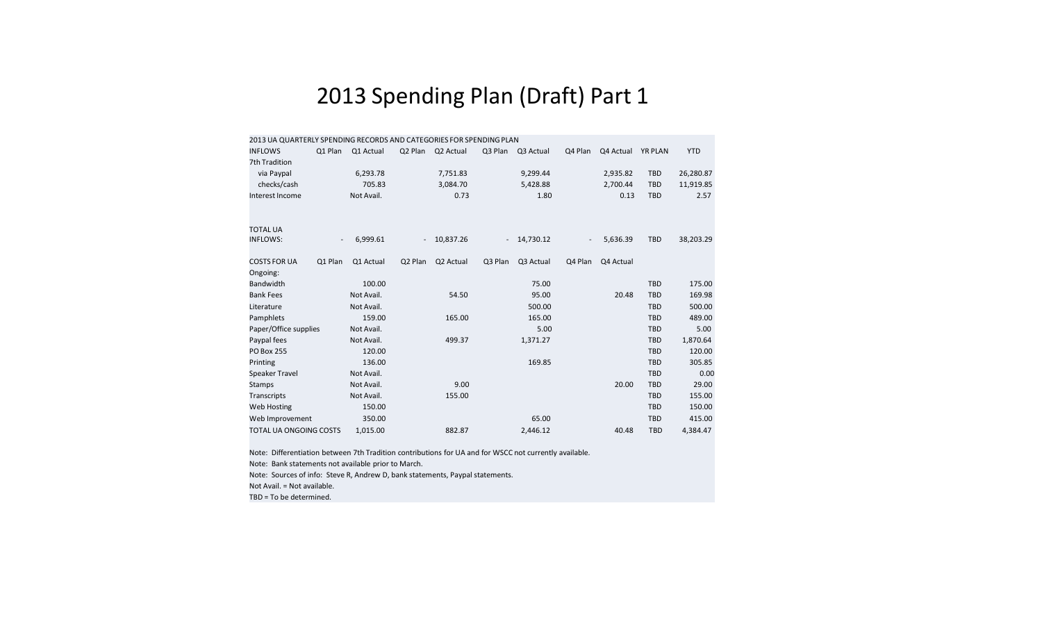### 2013 Spending Plan (Draft) Part 1

|                    |                               |                          | 2013 UA QUARTERLY SPENDING RECORDS AND CATEGORIES FOR SPENDING PLAN |                |           |         |           |         |           |                |            |
|--------------------|-------------------------------|--------------------------|---------------------------------------------------------------------|----------------|-----------|---------|-----------|---------|-----------|----------------|------------|
| <b>INFLOWS</b>     |                               | Q1 Plan                  | Q1 Actual                                                           | Q2 Plan        | Q2 Actual | Q3 Plan | Q3 Actual | Q4 Plan | Q4 Actual | <b>YR PLAN</b> | <b>YTD</b> |
|                    | 7th Tradition                 |                          |                                                                     |                |           |         |           |         |           |                |            |
|                    | via Paypal                    |                          | 6,293.78                                                            |                | 7,751.83  |         | 9,299.44  |         | 2,935.82  | <b>TBD</b>     | 26,280.87  |
|                    | checks/cash                   |                          | 705.83                                                              |                | 3,084.70  |         | 5,428.88  |         | 2,700.44  | <b>TBD</b>     | 11,919.85  |
|                    | Interest Income               |                          | Not Avail.                                                          |                | 0.73      |         | 1.80      |         | 0.13      | <b>TBD</b>     | 2.57       |
|                    |                               |                          |                                                                     |                |           |         |           |         |           |                |            |
| <b>TOTAL UA</b>    |                               |                          |                                                                     |                |           |         |           |         |           |                |            |
| <b>INFLOWS:</b>    |                               | $\overline{\phantom{a}}$ | 6,999.61                                                            | $\blacksquare$ | 10,837.26 |         | 14,730.12 |         | 5,636.39  | <b>TBD</b>     | 38,203.29  |
|                    | <b>COSTS FOR UA</b>           | Q1 Plan                  | Q1 Actual                                                           | Q2 Plan        | Q2 Actual | Q3 Plan | Q3 Actual | Q4 Plan | Q4 Actual |                |            |
| Ongoing:           |                               |                          |                                                                     |                |           |         |           |         |           |                |            |
| <b>Bandwidth</b>   |                               |                          | 100.00                                                              |                |           |         | 75.00     |         |           | <b>TBD</b>     | 175.00     |
| <b>Bank Fees</b>   |                               |                          | Not Avail.                                                          |                |           |         | 95.00     |         | 20.48     | <b>TBD</b>     | 169.98     |
| Literature         |                               |                          | Not Avail.                                                          |                | 54.50     |         | 500.00    |         |           | <b>TBD</b>     | 500.00     |
|                    |                               |                          |                                                                     |                |           |         |           |         |           |                |            |
| Pamphlets          |                               |                          | 159.00                                                              |                | 165.00    |         | 165.00    |         |           | <b>TBD</b>     | 489.00     |
|                    | Paper/Office supplies         |                          | Not Avail.                                                          |                |           |         | 5.00      |         |           | <b>TBD</b>     | 5.00       |
| Paypal fees        |                               |                          | Not Avail.                                                          |                | 499.37    |         | 1,371.27  |         |           | <b>TBD</b>     | 1,870.64   |
| <b>PO Box 255</b>  |                               |                          | 120.00                                                              |                |           |         |           |         |           | <b>TBD</b>     | 120.00     |
| Printing           |                               |                          | 136.00                                                              |                |           |         | 169.85    |         |           | TBD            | 305.85     |
|                    | <b>Speaker Travel</b>         |                          | Not Avail.                                                          |                |           |         |           |         |           | <b>TBD</b>     | 0.00       |
| <b>Stamps</b>      |                               |                          | Not Avail.                                                          |                | 9.00      |         |           |         | 20.00     | <b>TBD</b>     | 29.00      |
| <b>Transcripts</b> |                               |                          | Not Avail.                                                          |                | 155.00    |         |           |         |           | <b>TBD</b>     | 155.00     |
|                    | <b>Web Hosting</b>            |                          | 150.00                                                              |                |           |         |           |         |           | <b>TBD</b>     | 150.00     |
|                    | Web Improvement               |                          | 350.00                                                              |                |           |         | 65.00     |         |           | <b>TBD</b>     | 415.00     |
|                    | <b>TOTAL UA ONGOING COSTS</b> |                          | 1,015.00                                                            |                | 882.87    |         | 2,446.12  |         | 40.48     | <b>TBD</b>     | 4,384.47   |
|                    |                               |                          |                                                                     |                |           |         |           |         |           |                |            |

Note: Differentiation between 7th Tradition contributions for UA and for WSCC not currently available. Note: Bank statements not available prior to March. Note: Sources of info: Steve R, Andrew D, bank statements, Paypal statements.

Not Avail. = Not available.

TBD <sup>=</sup> To be determined.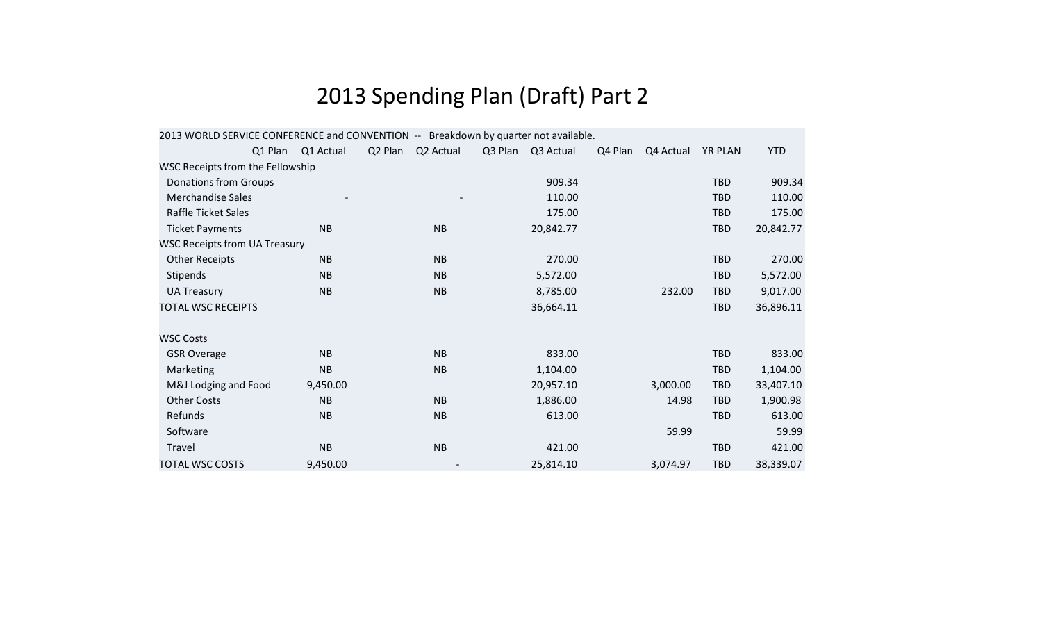# 2013 Spending Plan (Draft) Part 2

| 2013 WORLD SERVICE CONFERENCE and CONVENTION -- Breakdown by quarter not available. |           |         |           |         |           |         |           |                |            |
|-------------------------------------------------------------------------------------|-----------|---------|-----------|---------|-----------|---------|-----------|----------------|------------|
| Q1 Plan                                                                             | Q1 Actual | Q2 Plan | Q2 Actual | Q3 Plan | Q3 Actual | Q4 Plan | Q4 Actual | <b>YR PLAN</b> | <b>YTD</b> |
| WSC Receipts from the Fellowship                                                    |           |         |           |         |           |         |           |                |            |
| <b>Donations from Groups</b>                                                        |           |         |           |         | 909.34    |         |           | <b>TBD</b>     | 909.34     |
| <b>Merchandise Sales</b>                                                            |           |         |           |         | 110.00    |         |           | <b>TBD</b>     | 110.00     |
| Raffle Ticket Sales                                                                 |           |         |           |         | 175.00    |         |           | <b>TBD</b>     | 175.00     |
| <b>Ticket Payments</b>                                                              | <b>NB</b> |         | <b>NB</b> |         | 20,842.77 |         |           | <b>TBD</b>     | 20,842.77  |
| <b>WSC Receipts from UA Treasury</b>                                                |           |         |           |         |           |         |           |                |            |
| <b>Other Receipts</b>                                                               | <b>NB</b> |         | <b>NB</b> |         | 270.00    |         |           | <b>TBD</b>     | 270.00     |
| Stipends                                                                            | <b>NB</b> |         | <b>NB</b> |         | 5,572.00  |         |           | <b>TBD</b>     | 5,572.00   |
| <b>UA Treasury</b>                                                                  | <b>NB</b> |         | <b>NB</b> |         | 8,785.00  |         | 232.00    | <b>TBD</b>     | 9,017.00   |
| <b>TOTAL WSC RECEIPTS</b>                                                           |           |         |           |         | 36,664.11 |         |           | <b>TBD</b>     | 36,896.11  |
| <b>WSC Costs</b>                                                                    |           |         |           |         |           |         |           |                |            |
| <b>GSR Overage</b>                                                                  | <b>NB</b> |         | <b>NB</b> |         | 833.00    |         |           | <b>TBD</b>     | 833.00     |
| Marketing                                                                           | <b>NB</b> |         | <b>NB</b> |         | 1,104.00  |         |           | <b>TBD</b>     | 1,104.00   |
| M&J Lodging and Food                                                                | 9,450.00  |         |           |         | 20,957.10 |         | 3,000.00  | <b>TBD</b>     | 33,407.10  |
| <b>Other Costs</b>                                                                  | <b>NB</b> |         | <b>NB</b> |         | 1,886.00  |         | 14.98     | <b>TBD</b>     | 1,900.98   |
| Refunds                                                                             | <b>NB</b> |         | <b>NB</b> |         | 613.00    |         |           | <b>TBD</b>     | 613.00     |
| Software                                                                            |           |         |           |         |           |         | 59.99     |                | 59.99      |
| Travel                                                                              | <b>NB</b> |         | <b>NB</b> |         | 421.00    |         |           | <b>TBD</b>     | 421.00     |
| <b>TOTAL WSC COSTS</b>                                                              | 9,450.00  |         |           |         | 25,814.10 |         | 3,074.97  | <b>TBD</b>     | 38,339.07  |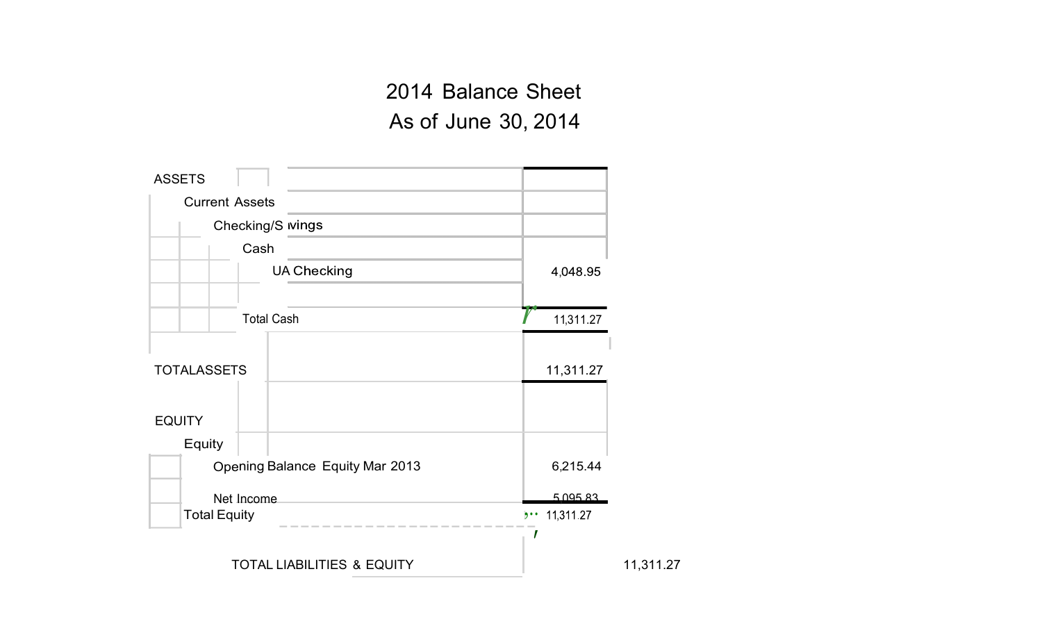## 2014 Balance Sheet As of June 30, 2014

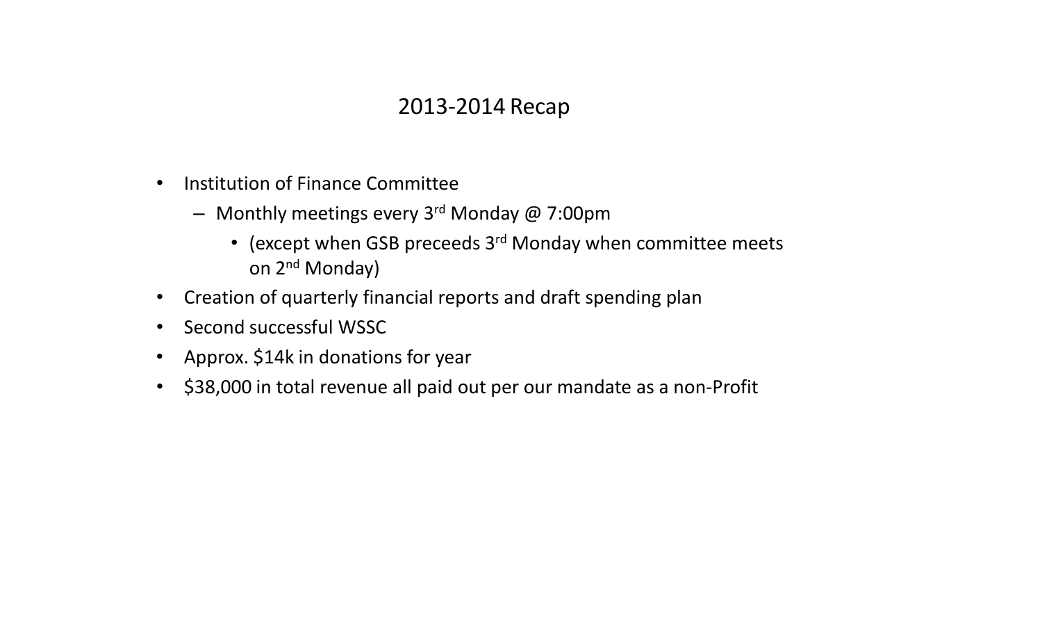### 2013-2014 Recap

- $\bullet$  Institution of Finance Committee
	- Monthly meetings every 3r<sup>d</sup> Monday @ 7:00pm
		- (except when GSB preceeds  $3<sup>rd</sup>$  Monday when committee meets on 2n<sup>d</sup> Monday)
- Creation of quarterly financial reports and draft spending plan
- Second successful WSSC
- Approx. \$14k in donations for year
- \$38,000 in total revenue all paid out per our mandate as a non-Profit